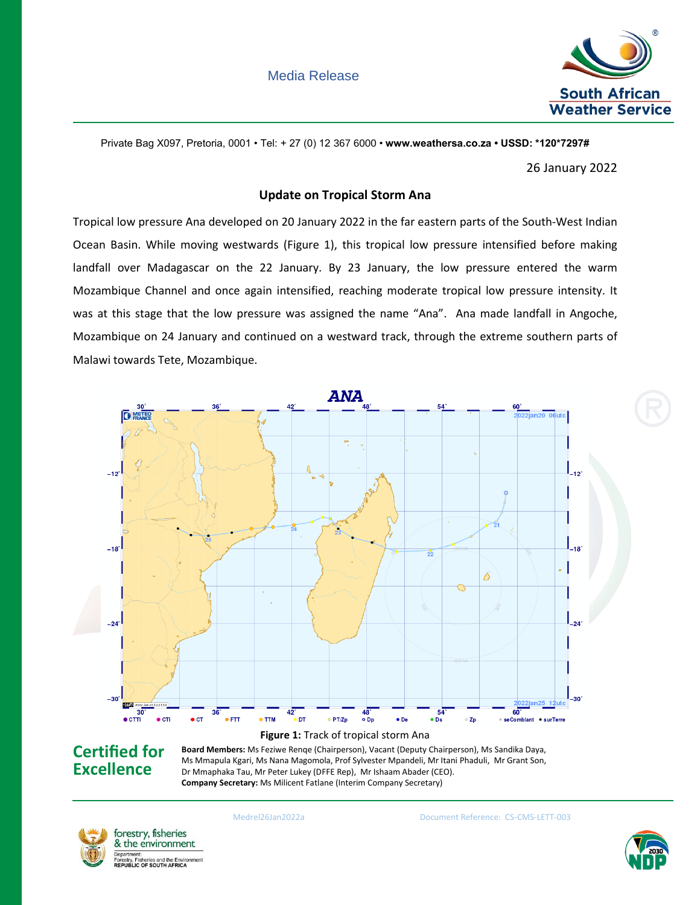

Private Bag X097, Pretoria, 0001 • Tel: + 27 (0) 12 367 6000 • **www.weathersa.co.za • USSD: \*120\*7297#**

26 January 2022

## **Update on Tropical Storm Ana**

Tropical low pressure Ana developed on 20 January 2022 in the far eastern parts of the South-West Indian Ocean Basin. While moving westwards (Figure 1), this tropical low pressure intensified before making landfall over Madagascar on the 22 January. By 23 January, the low pressure entered the warm Mozambique Channel and once again intensified, reaching moderate tropical low pressure intensity. It was at this stage that the low pressure was assigned the name "Ana". Ana made landfall in Angoche, Mozambique on 24 January and continued on a westward track, through the extreme southern parts of Malawi towards Tete, Mozambique.



## **Board Members:** Ms Feziwe Renqe (Chairperson), Vacant (Deputy Chairperson), Ms Sandika Daya, Ms Mmapula Kgari, Ms Nana Magomola, Prof Sylvester Mpandeli, Mr Itani Phaduli, Mr Grant Son, Dr Mmaphaka Tau, Mr Peter Lukey (DFFE Rep), Mr Ishaam Abader (CEO). **Company Secretary:** Ms Milicent Fatlane (Interim Company Secretary)



**Excellence**

Medrel26Jan2022a Document Reference: CS-CMS-LETT-003

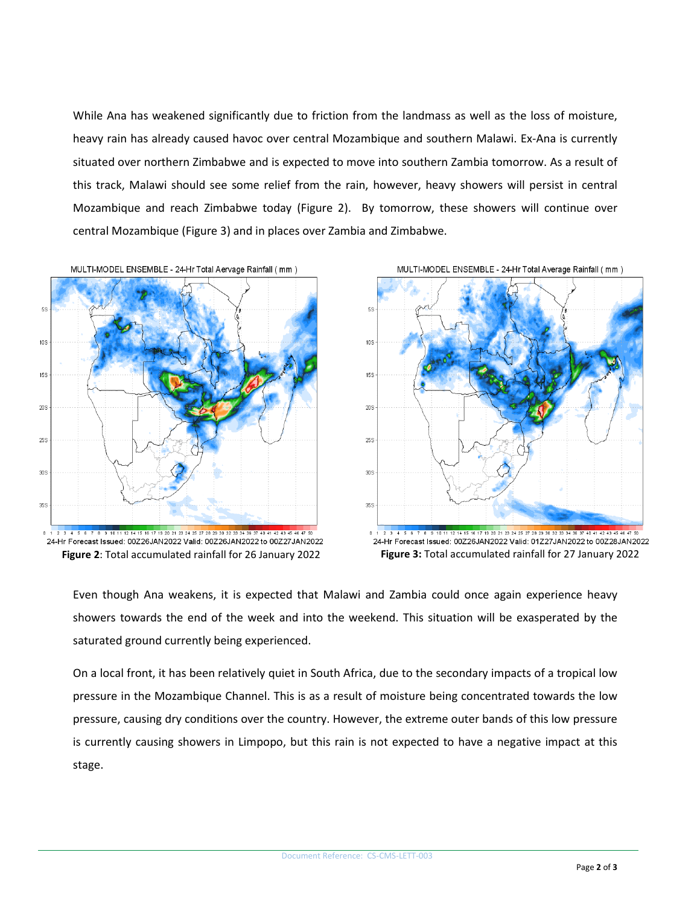While Ana has weakened significantly due to friction from the landmass as well as the loss of moisture, heavy rain has already caused havoc over central Mozambique and southern Malawi. Ex-Ana is currently situated over northern Zimbabwe and is expected to move into southern Zambia tomorrow. As a result of this track, Malawi should see some relief from the rain, however, heavy showers will persist in central Mozambique and reach Zimbabwe today (Figure 2). By tomorrow, these showers will continue over central Mozambique (Figure 3) and in places over Zambia and Zimbabwe.







Even though Ana weakens, it is expected that Malawi and Zambia could once again experience heavy showers towards the end of the week and into the weekend. This situation will be exasperated by the saturated ground currently being experienced.

On a local front, it has been relatively quiet in South Africa, due to the secondary impacts of a tropical low pressure in the Mozambique Channel. This is as a result of moisture being concentrated towards the low pressure, causing dry conditions over the country. However, the extreme outer bands of this low pressure is currently causing showers in Limpopo, but this rain is not expected to have a negative impact at this stage.